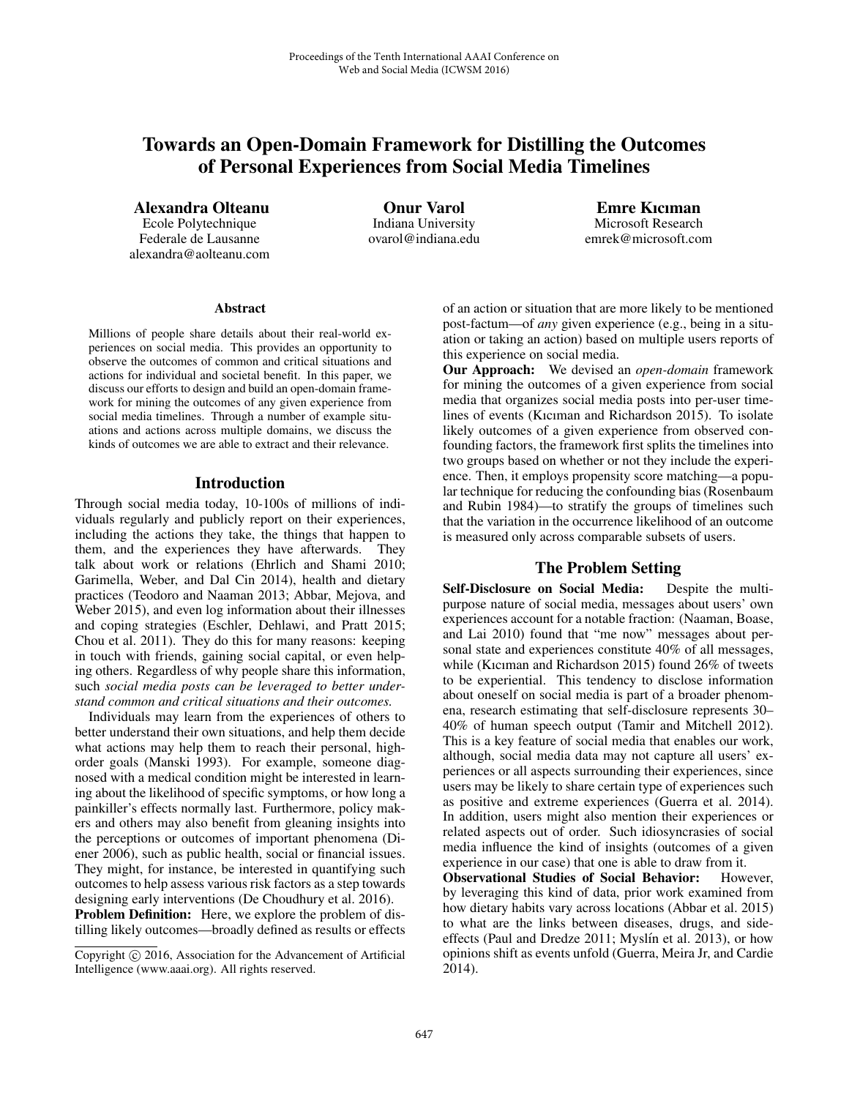# Towards an Open-Domain Framework for Distilling the Outcomes of Personal Experiences from Social Media Timelines

Alexandra Olteanu

Ecole Polytechnique Federale de Lausanne alexandra@aolteanu.com

Onur Varol Indiana University ovarol@indiana.edu

Emre Kıcıman Microsoft Research emrek@microsoft.com

#### **Abstract**

Millions of people share details about their real-world experiences on social media. This provides an opportunity to observe the outcomes of common and critical situations and actions for individual and societal benefit. In this paper, we discuss our efforts to design and build an open-domain framework for mining the outcomes of any given experience from social media timelines. Through a number of example situations and actions across multiple domains, we discuss the kinds of outcomes we are able to extract and their relevance.

### Introduction

Through social media today, 10-100s of millions of individuals regularly and publicly report on their experiences, including the actions they take, the things that happen to them, and the experiences they have afterwards. They talk about work or relations (Ehrlich and Shami 2010; Garimella, Weber, and Dal Cin 2014), health and dietary practices (Teodoro and Naaman 2013; Abbar, Mejova, and Weber 2015), and even log information about their illnesses and coping strategies (Eschler, Dehlawi, and Pratt 2015; Chou et al. 2011). They do this for many reasons: keeping in touch with friends, gaining social capital, or even helping others. Regardless of why people share this information, such *social media posts can be leveraged to better understand common and critical situations and their outcomes.*

Individuals may learn from the experiences of others to better understand their own situations, and help them decide what actions may help them to reach their personal, highorder goals (Manski 1993). For example, someone diagnosed with a medical condition might be interested in learning about the likelihood of specific symptoms, or how long a painkiller's effects normally last. Furthermore, policy makers and others may also benefit from gleaning insights into the perceptions or outcomes of important phenomena (Diener 2006), such as public health, social or financial issues. They might, for instance, be interested in quantifying such outcomes to help assess various risk factors as a step towards designing early interventions (De Choudhury et al. 2016). Problem Definition: Here, we explore the problem of dis-

tilling likely outcomes—broadly defined as results or effects

of an action or situation that are more likely to be mentioned post-factum—of *any* given experience (e.g., being in a situation or taking an action) based on multiple users reports of this experience on social media.

Our Approach: We devised an *open-domain* framework for mining the outcomes of a given experience from social media that organizes social media posts into per-user timelines of events (Kıcıman and Richardson 2015). To isolate likely outcomes of a given experience from observed confounding factors, the framework first splits the timelines into two groups based on whether or not they include the experience. Then, it employs propensity score matching—a popular technique for reducing the confounding bias (Rosenbaum and Rubin 1984)—to stratify the groups of timelines such that the variation in the occurrence likelihood of an outcome is measured only across comparable subsets of users.

# The Problem Setting

Self-Disclosure on Social Media: Despite the multipurpose nature of social media, messages about users' own experiences account for a notable fraction: (Naaman, Boase, and Lai 2010) found that "me now" messages about personal state and experiences constitute 40% of all messages, while (Kıcıman and Richardson 2015) found 26% of tweets to be experiential. This tendency to disclose information about oneself on social media is part of a broader phenomena, research estimating that self-disclosure represents 30– 40% of human speech output (Tamir and Mitchell 2012). This is a key feature of social media that enables our work, although, social media data may not capture all users' experiences or all aspects surrounding their experiences, since users may be likely to share certain type of experiences such as positive and extreme experiences (Guerra et al. 2014). In addition, users might also mention their experiences or related aspects out of order. Such idiosyncrasies of social media influence the kind of insights (outcomes of a given experience in our case) that one is able to draw from it.

Observational Studies of Social Behavior: However, by leveraging this kind of data, prior work examined from how dietary habits vary across locations (Abbar et al. 2015) to what are the links between diseases, drugs, and sideeffects (Paul and Dredze 2011; Myslín et al. 2013), or how opinions shift as events unfold (Guerra, Meira Jr, and Cardie 2014).

Copyright  $\odot$  2016, Association for the Advancement of Artificial Intelligence (www.aaai.org). All rights reserved.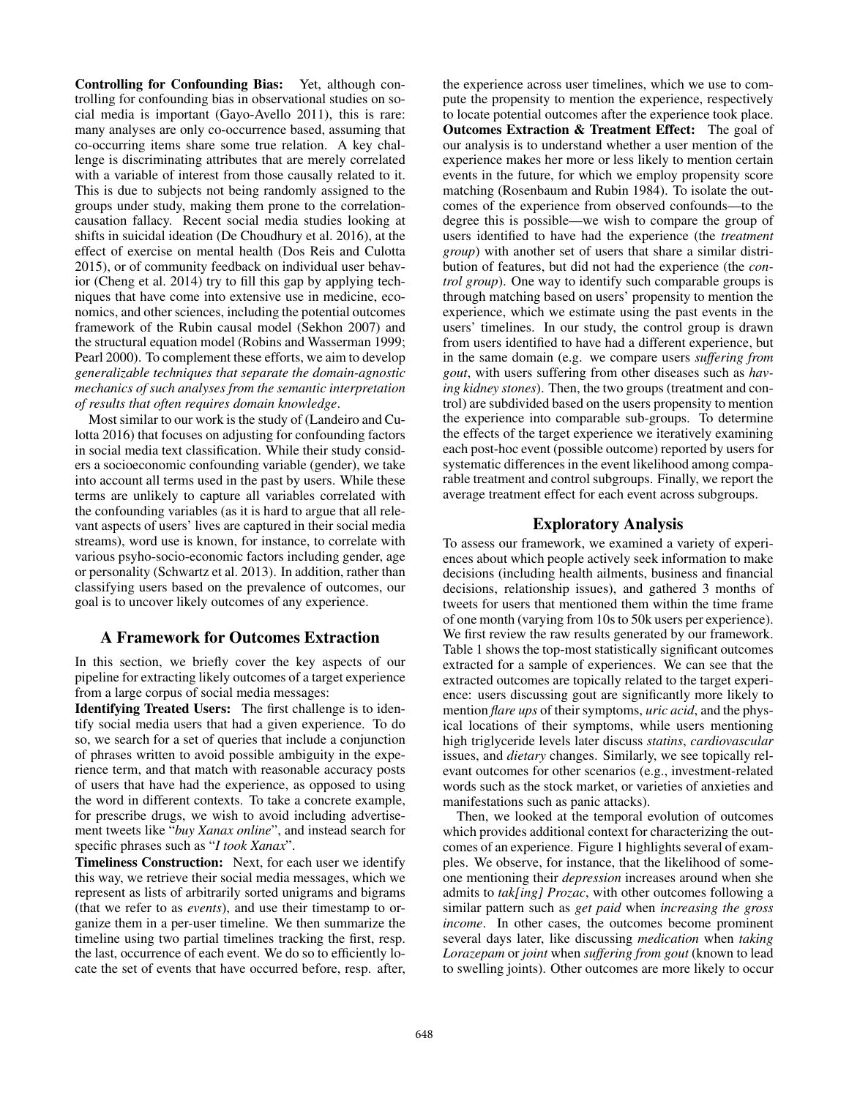Controlling for Confounding Bias: Yet, although controlling for confounding bias in observational studies on social media is important (Gayo-Avello 2011), this is rare: many analyses are only co-occurrence based, assuming that co-occurring items share some true relation. A key challenge is discriminating attributes that are merely correlated with a variable of interest from those causally related to it. This is due to subjects not being randomly assigned to the groups under study, making them prone to the correlationcausation fallacy. Recent social media studies looking at shifts in suicidal ideation (De Choudhury et al. 2016), at the effect of exercise on mental health (Dos Reis and Culotta 2015), or of community feedback on individual user behavior (Cheng et al. 2014) try to fill this gap by applying techniques that have come into extensive use in medicine, economics, and other sciences, including the potential outcomes framework of the Rubin causal model (Sekhon 2007) and the structural equation model (Robins and Wasserman 1999; Pearl 2000). To complement these efforts, we aim to develop *generalizable techniques that separate the domain-agnostic mechanics of such analyses from the semantic interpretation of results that often requires domain knowledge*.

Most similar to our work is the study of (Landeiro and Culotta 2016) that focuses on adjusting for confounding factors in social media text classification. While their study considers a socioeconomic confounding variable (gender), we take into account all terms used in the past by users. While these terms are unlikely to capture all variables correlated with the confounding variables (as it is hard to argue that all relevant aspects of users' lives are captured in their social media streams), word use is known, for instance, to correlate with various psyho-socio-economic factors including gender, age or personality (Schwartz et al. 2013). In addition, rather than classifying users based on the prevalence of outcomes, our goal is to uncover likely outcomes of any experience.

# A Framework for Outcomes Extraction

In this section, we briefly cover the key aspects of our pipeline for extracting likely outcomes of a target experience from a large corpus of social media messages:

Identifying Treated Users: The first challenge is to identify social media users that had a given experience. To do so, we search for a set of queries that include a conjunction of phrases written to avoid possible ambiguity in the experience term, and that match with reasonable accuracy posts of users that have had the experience, as opposed to using the word in different contexts. To take a concrete example, for prescribe drugs, we wish to avoid including advertisement tweets like "*buy Xanax online*", and instead search for specific phrases such as "*I took Xanax*".

Timeliness Construction: Next, for each user we identify this way, we retrieve their social media messages, which we represent as lists of arbitrarily sorted unigrams and bigrams (that we refer to as *events*), and use their timestamp to organize them in a per-user timeline. We then summarize the timeline using two partial timelines tracking the first, resp. the last, occurrence of each event. We do so to efficiently locate the set of events that have occurred before, resp. after,

the experience across user timelines, which we use to compute the propensity to mention the experience, respectively to locate potential outcomes after the experience took place. Outcomes Extraction & Treatment Effect: The goal of our analysis is to understand whether a user mention of the experience makes her more or less likely to mention certain events in the future, for which we employ propensity score matching (Rosenbaum and Rubin 1984). To isolate the outcomes of the experience from observed confounds—to the degree this is possible—we wish to compare the group of users identified to have had the experience (the *treatment group*) with another set of users that share a similar distribution of features, but did not had the experience (the *control group*). One way to identify such comparable groups is through matching based on users' propensity to mention the experience, which we estimate using the past events in the users' timelines. In our study, the control group is drawn from users identified to have had a different experience, but in the same domain (e.g. we compare users *suffering from gout*, with users suffering from other diseases such as *having kidney stones*). Then, the two groups (treatment and control) are subdivided based on the users propensity to mention the experience into comparable sub-groups. To determine the effects of the target experience we iteratively examining each post-hoc event (possible outcome) reported by users for systematic differences in the event likelihood among comparable treatment and control subgroups. Finally, we report the average treatment effect for each event across subgroups.

# Exploratory Analysis

To assess our framework, we examined a variety of experiences about which people actively seek information to make decisions (including health ailments, business and financial decisions, relationship issues), and gathered 3 months of tweets for users that mentioned them within the time frame of one month (varying from 10s to 50k users per experience). We first review the raw results generated by our framework. Table 1 shows the top-most statistically significant outcomes extracted for a sample of experiences. We can see that the extracted outcomes are topically related to the target experience: users discussing gout are significantly more likely to mention *flare ups* of their symptoms, *uric acid*, and the physical locations of their symptoms, while users mentioning high triglyceride levels later discuss *statins*, *cardiovascular* issues, and *dietary* changes. Similarly, we see topically relevant outcomes for other scenarios (e.g., investment-related words such as the stock market, or varieties of anxieties and manifestations such as panic attacks).

Then, we looked at the temporal evolution of outcomes which provides additional context for characterizing the outcomes of an experience. Figure 1 highlights several of examples. We observe, for instance, that the likelihood of someone mentioning their *depression* increases around when she admits to *tak[ing] Prozac*, with other outcomes following a similar pattern such as *get paid* when *increasing the gross income*. In other cases, the outcomes become prominent several days later, like discussing *medication* when *taking Lorazepam* or *joint* when *suffering from gout* (known to lead to swelling joints). Other outcomes are more likely to occur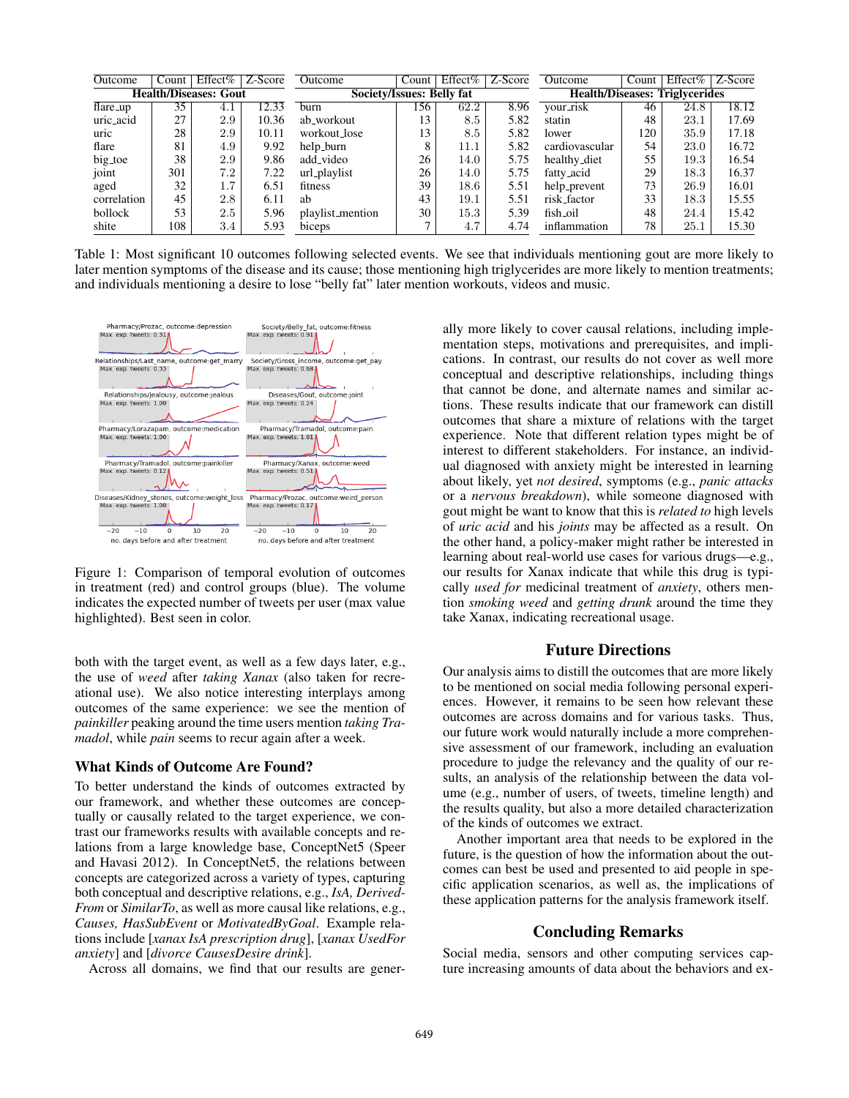| Outcome                      | Count | Effect% | Z-Score            | Outcome                   | Count | Effect% | Z-Score | Outcome                               | Count | Effect% | Z-Score |
|------------------------------|-------|---------|--------------------|---------------------------|-------|---------|---------|---------------------------------------|-------|---------|---------|
| <b>Health/Diseases: Gout</b> |       |         |                    | Society/Issues: Belly fat |       |         |         | <b>Health/Diseases: Triglycerides</b> |       |         |         |
| flare_up                     | 35    |         | $12.\overline{33}$ | burn                      | 156   | 62.2    | 8.96    | your_risk                             | 46    | 24.8    | 18.12   |
| uric_acid                    | 27    | 2.9     | 10.36              | ab_workout                | 13    | 8.5     | 5.82    | statin                                | 48    | 23.1    | 17.69   |
| uric                         | 28    | 2.9     | 10.11              | workout_lose              | 13    | 8.5     | 5.82    | lower                                 | 120   | 35.9    | 17.18   |
| flare                        | 81    | 4.9     | 9.92               | help_burn                 | 8     | 11.1    | 5.82    | cardiovascular                        | 54    | 23.0    | 16.72   |
| big_toe                      | 38    | 2.9     | 9.86               | add_video                 | 26    | 14.0    | 5.75    | healthy_diet                          | 55    | 19.3    | 16.54   |
| joint                        | 301   | 7.2     | 7.22               | url_playlist              | 26    | 14.0    | 5.75    | fatty_acid                            | 29    | 18.3    | 16.37   |
| aged                         | 32    | $1.7\,$ | 6.51               | fitness                   | 39    | 18.6    | 5.51    | help_prevent                          | 73    | 26.9    | 16.01   |
| correlation                  | 45    | 2.8     | 6.11               | ab                        | 43    | 19.1    | 5.51    | risk_factor                           | 33    | 18.3    | 15.55   |
| bollock                      | 53    | 2.5     | 5.96               | playlist_mention          | 30    | 15.3    | 5.39    | fish_oil                              | 48    | 24.4    | 15.42   |
| shite                        | 108   | 3.4     | 5.93               | biceps                    |       | 4.7     | 4.74    | inflammation                          | 78    | 25.1    | 15.30   |

Table 1: Most significant 10 outcomes following selected events. We see that individuals mentioning gout are more likely to later mention symptoms of the disease and its cause; those mentioning high triglycerides are more likely to mention treatments; and individuals mentioning a desire to lose "belly fat" later mention workouts, videos and music.



Figure 1: Comparison of temporal evolution of outcomes in treatment (red) and control groups (blue). The volume indicates the expected number of tweets per user (max value highlighted). Best seen in color.

both with the target event, as well as a few days later, e.g., the use of *weed* after *taking Xanax* (also taken for recreational use). We also notice interesting interplays among outcomes of the same experience: we see the mention of *painkiller* peaking around the time users mention *taking Tramadol*, while *pain* seems to recur again after a week.

#### What Kinds of Outcome Are Found?

To better understand the kinds of outcomes extracted by our framework, and whether these outcomes are conceptually or causally related to the target experience, we contrast our frameworks results with available concepts and relations from a large knowledge base, ConceptNet5 (Speer and Havasi 2012). In ConceptNet5, the relations between concepts are categorized across a variety of types, capturing both conceptual and descriptive relations, e.g., *IsA, Derived-From* or *SimilarTo*, as well as more causal like relations, e.g., *Causes, HasSubEvent* or *MotivatedByGoal*. Example relations include [*xanax IsA prescription drug*], [*xanax UsedFor anxiety*] and [*divorce CausesDesire drink*].

Across all domains, we find that our results are gener-

ally more likely to cover causal relations, including implementation steps, motivations and prerequisites, and implications. In contrast, our results do not cover as well more conceptual and descriptive relationships, including things that cannot be done, and alternate names and similar actions. These results indicate that our framework can distill outcomes that share a mixture of relations with the target experience. Note that different relation types might be of interest to different stakeholders. For instance, an individual diagnosed with anxiety might be interested in learning about likely, yet *not desired*, symptoms (e.g., *panic attacks* or a *nervous breakdown*), while someone diagnosed with gout might be want to know that this is *related to* high levels of *uric acid* and his *joints* may be affected as a result. On the other hand, a policy-maker might rather be interested in learning about real-world use cases for various drugs—e.g., our results for Xanax indicate that while this drug is typically *used for* medicinal treatment of *anxiety*, others mention *smoking weed* and *getting drunk* around the time they take Xanax, indicating recreational usage.

### Future Directions

Our analysis aims to distill the outcomes that are more likely to be mentioned on social media following personal experiences. However, it remains to be seen how relevant these outcomes are across domains and for various tasks. Thus, our future work would naturally include a more comprehensive assessment of our framework, including an evaluation procedure to judge the relevancy and the quality of our results, an analysis of the relationship between the data volume (e.g., number of users, of tweets, timeline length) and the results quality, but also a more detailed characterization of the kinds of outcomes we extract.

Another important area that needs to be explored in the future, is the question of how the information about the outcomes can best be used and presented to aid people in specific application scenarios, as well as, the implications of these application patterns for the analysis framework itself.

### Concluding Remarks

Social media, sensors and other computing services capture increasing amounts of data about the behaviors and ex